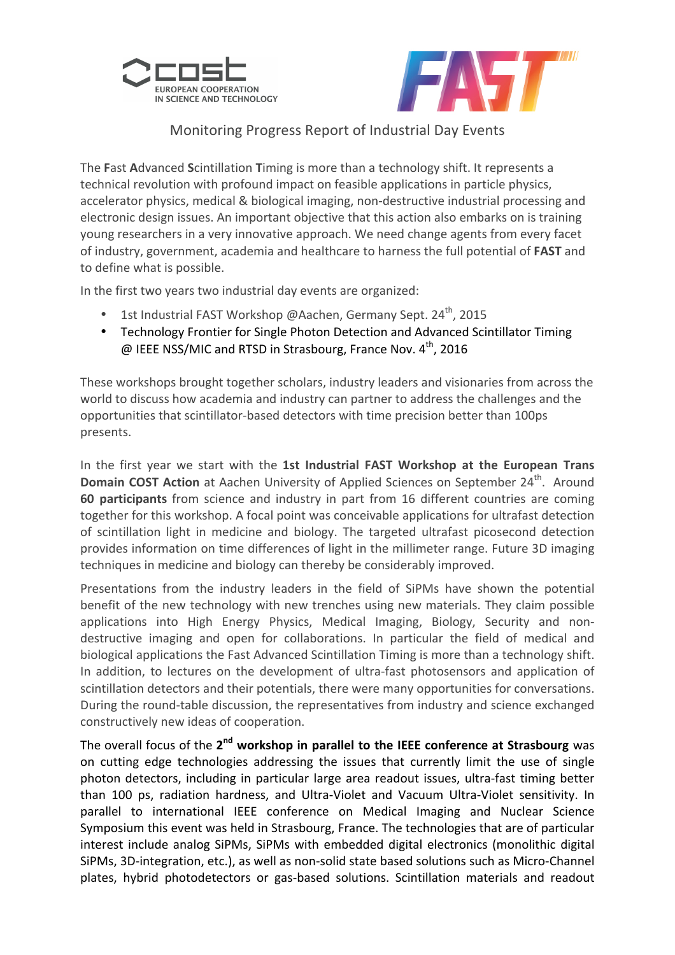



## Monitoring Progress Report of Industrial Day Events

The Fast Advanced Scintillation Timing is more than a technology shift. It represents a technical revolution with profound impact on feasible applications in particle physics, accelerator physics, medical & biological imaging, non-destructive industrial processing and electronic design issues. An important objective that this action also embarks on is training young researchers in a very innovative approach. We need change agents from every facet of industry, government, academia and healthcare to harness the full potential of **FAST** and to define what is possible.

In the first two years two industrial day events are organized:

- 1st Industrial FAST Workshop @Aachen, Germany Sept. 24<sup>th</sup>, 2015
- Technology Frontier for Single Photon Detection and Advanced Scintillator Timing  $\omega$  IEEE NSS/MIC and RTSD in Strasbourg, France Nov. 4<sup>th</sup>, 2016

These workshops brought together scholars, industry leaders and visionaries from across the world to discuss how academia and industry can partner to address the challenges and the opportunities that scintillator-based detectors with time precision better than 100ps presents.

In the first year we start with the 1st Industrial FAST Workshop at the European Trans **Domain COST Action** at Aachen University of Applied Sciences on September 24<sup>th</sup>. Around **60 participants** from science and industry in part from 16 different countries are coming together for this workshop. A focal point was conceivable applications for ultrafast detection of scintillation light in medicine and biology. The targeted ultrafast picosecond detection provides information on time differences of light in the millimeter range. Future 3D imaging techniques in medicine and biology can thereby be considerably improved.

Presentations from the industry leaders in the field of SiPMs have shown the potential benefit of the new technology with new trenches using new materials. They claim possible applications into High Energy Physics, Medical Imaging, Biology, Security and nondestructive imaging and open for collaborations. In particular the field of medical and biological applications the Fast Advanced Scintillation Timing is more than a technology shift. In addition, to lectures on the development of ultra-fast photosensors and application of scintillation detectors and their potentials, there were many opportunities for conversations. During the round-table discussion, the representatives from industry and science exchanged constructively new ideas of cooperation.

The overall focus of the 2<sup>nd</sup> workshop in parallel to the IEEE conference at Strasbourg was on cutting edge technologies addressing the issues that currently limit the use of single photon detectors, including in particular large area readout issues, ultra-fast timing better than 100 ps, radiation hardness, and Ultra-Violet and Vacuum Ultra-Violet sensitivity. In parallel to international IEEE conference on Medical Imaging and Nuclear Science Symposium this event was held in Strasbourg, France. The technologies that are of particular interest include analog SiPMs, SiPMs with embedded digital electronics (monolithic digital SiPMs, 3D-integration, etc.), as well as non-solid state based solutions such as Micro-Channel plates, hybrid photodetectors or gas-based solutions. Scintillation materials and readout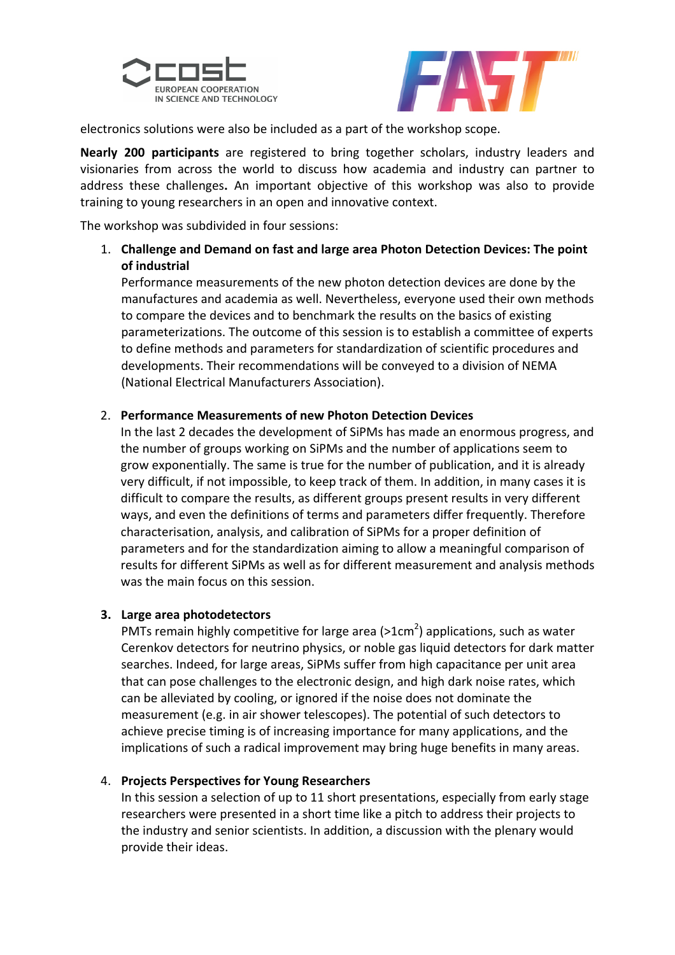



electronics solutions were also be included as a part of the workshop scope.

**Nearly 200 participants** are registered to bring together scholars, industry leaders and visionaries from across the world to discuss how academia and industry can partner to address these challenges. An important objective of this workshop was also to provide training to young researchers in an open and innovative context.

The workshop was subdivided in four sessions:

1. Challenge and Demand on fast and large area Photon Detection Devices: The point **of industrial** 

Performance measurements of the new photon detection devices are done by the manufactures and academia as well. Nevertheless, everyone used their own methods to compare the devices and to benchmark the results on the basics of existing parameterizations. The outcome of this session is to establish a committee of experts to define methods and parameters for standardization of scientific procedures and developments. Their recommendations will be conveyed to a division of NEMA (National Electrical Manufacturers Association).

## 2. **Performance Measurements of new Photon Detection Devices**

In the last 2 decades the development of SiPMs has made an enormous progress, and the number of groups working on SiPMs and the number of applications seem to grow exponentially. The same is true for the number of publication, and it is already very difficult, if not impossible, to keep track of them. In addition, in many cases it is difficult to compare the results, as different groups present results in very different ways, and even the definitions of terms and parameters differ frequently. Therefore characterisation, analysis, and calibration of SiPMs for a proper definition of parameters and for the standardization aiming to allow a meaningful comparison of results for different SiPMs as well as for different measurement and analysis methods was the main focus on this session.

## **3. Large area photodetectors**

PMTs remain highly competitive for large area (>1cm<sup>2</sup>) applications, such as water Cerenkov detectors for neutrino physics, or noble gas liquid detectors for dark matter searches. Indeed, for large areas, SiPMs suffer from high capacitance per unit area that can pose challenges to the electronic design, and high dark noise rates, which can be alleviated by cooling, or ignored if the noise does not dominate the measurement (e.g. in air shower telescopes). The potential of such detectors to achieve precise timing is of increasing importance for many applications, and the implications of such a radical improvement may bring huge benefits in many areas.

## 4. Projects Perspectives for Young Researchers

In this session a selection of up to 11 short presentations, especially from early stage researchers were presented in a short time like a pitch to address their projects to the industry and senior scientists. In addition, a discussion with the plenary would provide their ideas.